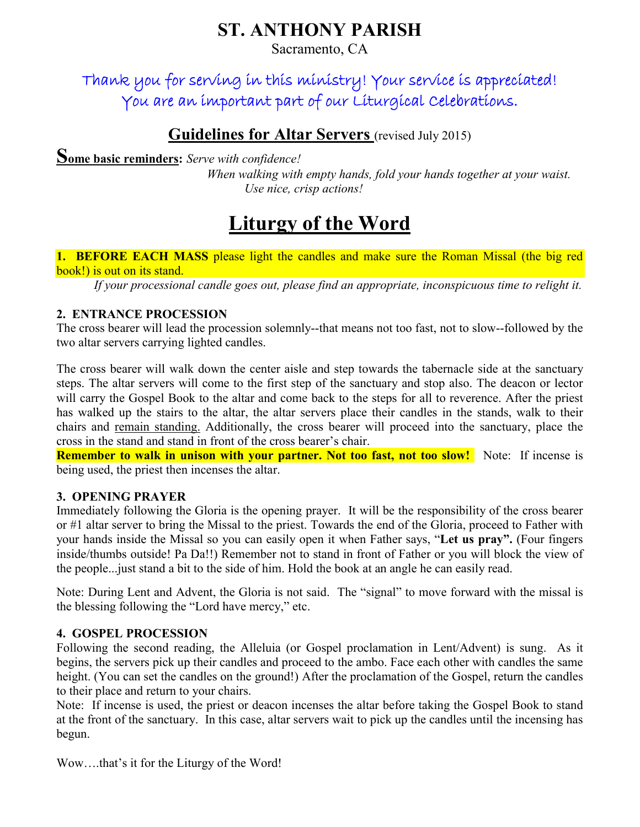## ST. ANTHONY PARISH

Sacramento, CA

Thank you for serving in this ministry! Your service is appreciated! You are an important part of our Liturgical Celebrations.

### Guidelines for Altar Servers (revised July 2015)

Some basic reminders: *Serve with confidence!* 

*When walking with empty hands, fold your hands together at your waist. Use nice, crisp actions!*

# Liturgy of the Word

1. BEFORE EACH MASS please light the candles and make sure the Roman Missal (the big red book!) is out on its stand.

*If your processional candle goes out, please find an appropriate, inconspicuous time to relight it.*

#### 2. ENTRANCE PROCESSION

The cross bearer will lead the procession solemnly--that means not too fast, not to slow--followed by the two altar servers carrying lighted candles.

The cross bearer will walk down the center aisle and step towards the tabernacle side at the sanctuary steps. The altar servers will come to the first step of the sanctuary and stop also. The deacon or lector will carry the Gospel Book to the altar and come back to the steps for all to reverence. After the priest has walked up the stairs to the altar, the altar servers place their candles in the stands, walk to their chairs and remain standing. Additionally, the cross bearer will proceed into the sanctuary, place the cross in the stand and stand in front of the cross bearer's chair.

**Remember to walk in unison with your partner. Not too fast, not too slow!** Note: If incense is being used, the priest then incenses the altar.

#### 3. OPENING PRAYER

Immediately following the Gloria is the opening prayer. It will be the responsibility of the cross bearer or #1 altar server to bring the Missal to the priest. Towards the end of the Gloria, proceed to Father with your hands inside the Missal so you can easily open it when Father says, "Let us pray". (Four fingers inside/thumbs outside! Pa Da!!) Remember not to stand in front of Father or you will block the view of the people...just stand a bit to the side of him. Hold the book at an angle he can easily read.

Note: During Lent and Advent, the Gloria is not said. The "signal" to move forward with the missal is the blessing following the "Lord have mercy," etc.

#### 4. GOSPEL PROCESSION

Following the second reading, the Alleluia (or Gospel proclamation in Lent/Advent) is sung. As it begins, the servers pick up their candles and proceed to the ambo. Face each other with candles the same height. (You can set the candles on the ground!) After the proclamation of the Gospel, return the candles to their place and return to your chairs.

Note: If incense is used, the priest or deacon incenses the altar before taking the Gospel Book to stand at the front of the sanctuary. In this case, altar servers wait to pick up the candles until the incensing has begun.

Wow….that's it for the Liturgy of the Word!